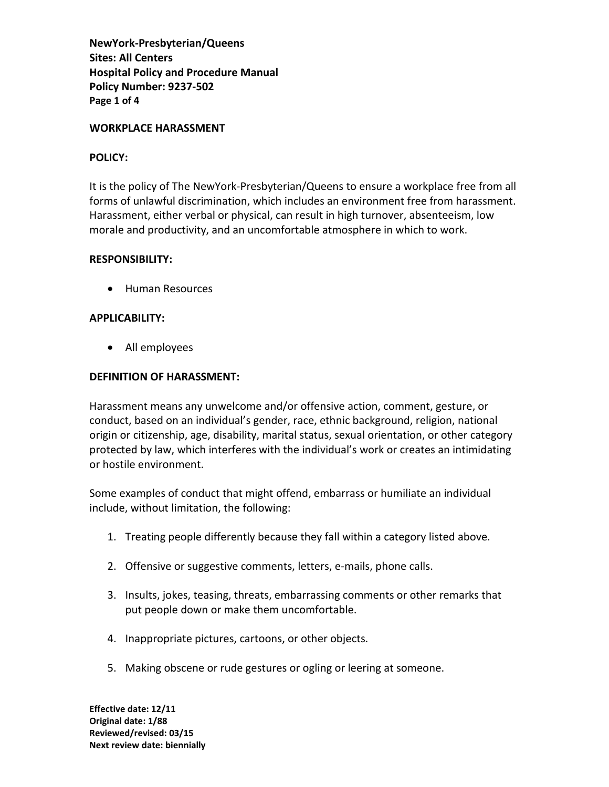**NewYork-Presbyterian/Queens Sites: All Centers Hospital Policy and Procedure Manual Policy Number: 9237-502 Page 1 of 4** 

### **WORKPLACE HARASSMENT**

### **POLICY:**

It is the policy of The NewYork-Presbyterian/Queens to ensure a workplace free from all forms of unlawful discrimination, which includes an environment free from harassment. Harassment, either verbal or physical, can result in high turnover, absenteeism, low morale and productivity, and an uncomfortable atmosphere in which to work.

### **RESPONSIBILITY:**

• Human Resources

### **APPLICABILITY:**

• All employees

# **DEFINITION OF HARASSMENT:**

Harassment means any unwelcome and/or offensive action, comment, gesture, or conduct, based on an individual's gender, race, ethnic background, religion, national origin or citizenship, age, disability, marital status, sexual orientation, or other category protected by law, which interferes with the individual's work or creates an intimidating or hostile environment.

Some examples of conduct that might offend, embarrass or humiliate an individual include, without limitation, the following:

- 1. Treating people differently because they fall within a category listed above.
- 2. Offensive or suggestive comments, letters, e-mails, phone calls.
- 3. Insults, jokes, teasing, threats, embarrassing comments or other remarks that put people down or make them uncomfortable.
- 4. Inappropriate pictures, cartoons, or other objects.
- 5. Making obscene or rude gestures or ogling or leering at someone.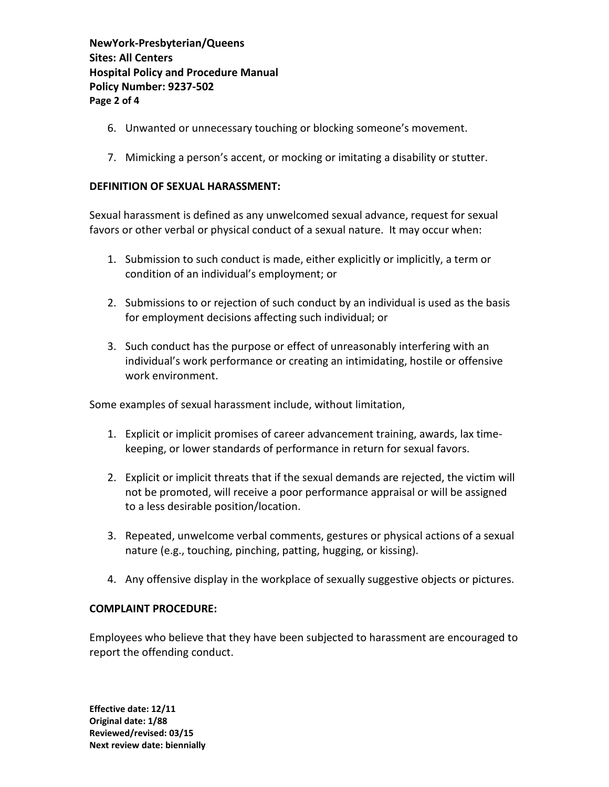**NewYork-Presbyterian/Queens Sites: All Centers Hospital Policy and Procedure Manual Policy Number: 9237-502 Page 2 of 4** 

- 6. Unwanted or unnecessary touching or blocking someone's movement.
- 7. Mimicking a person's accent, or mocking or imitating a disability or stutter.

# **DEFINITION OF SEXUAL HARASSMENT:**

Sexual harassment is defined as any unwelcomed sexual advance, request for sexual favors or other verbal or physical conduct of a sexual nature. It may occur when:

- 1. Submission to such conduct is made, either explicitly or implicitly, a term or condition of an individual's employment; or
- 2. Submissions to or rejection of such conduct by an individual is used as the basis for employment decisions affecting such individual; or
- 3. Such conduct has the purpose or effect of unreasonably interfering with an individual's work performance or creating an intimidating, hostile or offensive work environment.

Some examples of sexual harassment include, without limitation,

- 1. Explicit or implicit promises of career advancement training, awards, lax timekeeping, or lower standards of performance in return for sexual favors.
- 2. Explicit or implicit threats that if the sexual demands are rejected, the victim will not be promoted, will receive a poor performance appraisal or will be assigned to a less desirable position/location.
- 3. Repeated, unwelcome verbal comments, gestures or physical actions of a sexual nature (e.g., touching, pinching, patting, hugging, or kissing).
- 4. Any offensive display in the workplace of sexually suggestive objects or pictures.

# **COMPLAINT PROCEDURE:**

Employees who believe that they have been subjected to harassment are encouraged to report the offending conduct.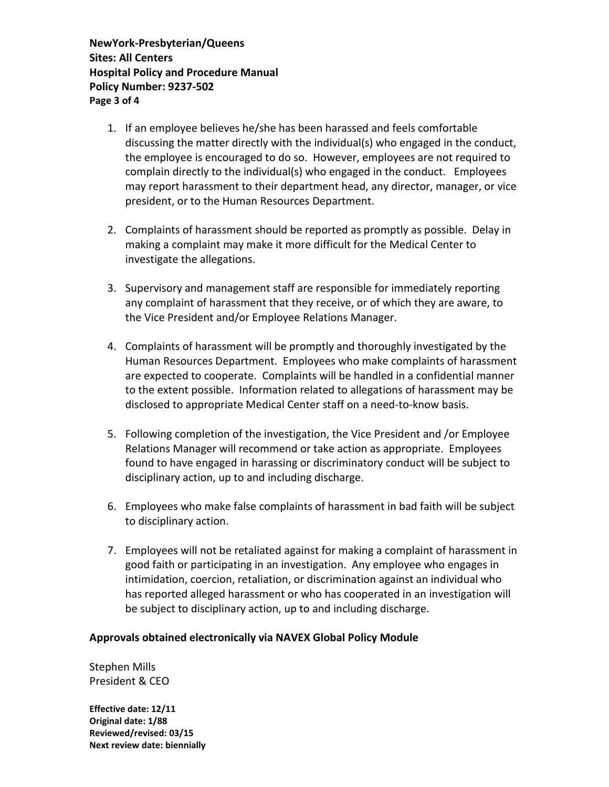**NewYork-Presbyterian/Queens Sites: All Centers Hospital Policy and Procedure Manual Policy Number: 9237-502 Page 3 of 4** 

- 1. If an employee believes he/she has been harassed and feels comfortable discussing the matter directly with the individual(s) who engaged in the conduct, the employee is encouraged to do so. However, employees are not required to complain directly to the individual(s) who engaged in the conduct. Employees may report harassment to their department head, any director, manager, or vice president, or to the Human Resources Department.
- 2. Complaints of harassment should be reported as promptly as possible. Delay in making a complaint may make it more difficult for the Medical Center to investigate the allegations.
- 3. Supervisory and management staff are responsible for immediately reporting any complaint of harassment that they receive, or of which they are aware, to the Vice President and/or Employee Relations Manager.
- 4. Complaints of harassment will be promptly and thoroughly investigated by the Human Resources Department. Employees who make complaints of harassment are expected to cooperate. Complaints will be handled in a confidential manner to the extent possible. Information related to allegations of harassment may be disclosed to appropriate Medical Center staff on a need-to-know basis.
- 5. Following completion of the investigation, the Vice President and /or Employee Relations Manager will recommend or take action as appropriate. Employees found to have engaged in harassing or discriminatory conduct will be subject to disciplinary action, up to and including discharge.
- 6. Employees who make false complaints of harassment in bad faith will be subject to disciplinary action.
- 7. Employees will not be retaliated against for making a complaint of harassment in good faith or participating in an investigation. Any employee who engages in intimidation, coercion, retaliation, or discrimination against an individual who has reported alleged harassment or who has cooperated in an investigation will be subject to disciplinary action, up to and including discharge.

# **Approvals obtained electronically via NAVEX Global Policy Module**

Stephen Mills President & CEO